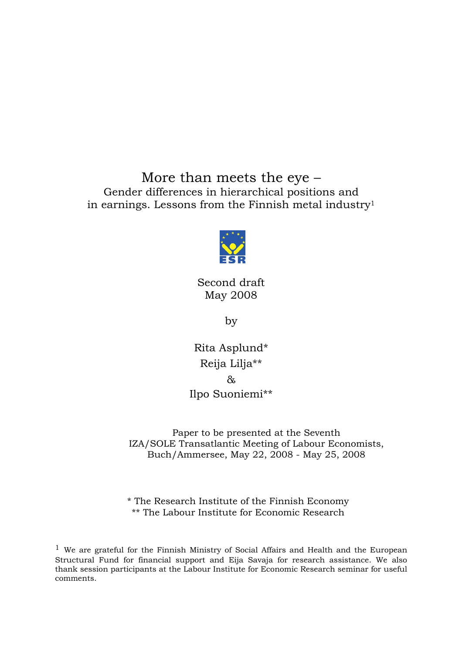More than meets the eye – Gender differences in hierarchical positions and in earnings. Lessons from the Finnish metal industry1



Second draft May 2008

by

Rita Asplund\* Reija Lilja\*\*  $\delta$ Ilpo Suoniemi\*\*

Paper to be presented at the Seventh IZA/SOLE Transatlantic Meeting of Labour Economists, Buch/Ammersee, May 22, 2008 - May 25, 2008

\* The Research Institute of the Finnish Economy \*\* The Labour Institute for Economic Research

 $1$  We are grateful for the Finnish Ministry of Social Affairs and Health and the European Structural Fund for financial support and Eija Savaja for research assistance. We also thank session participants at the Labour Institute for Economic Research seminar for useful comments.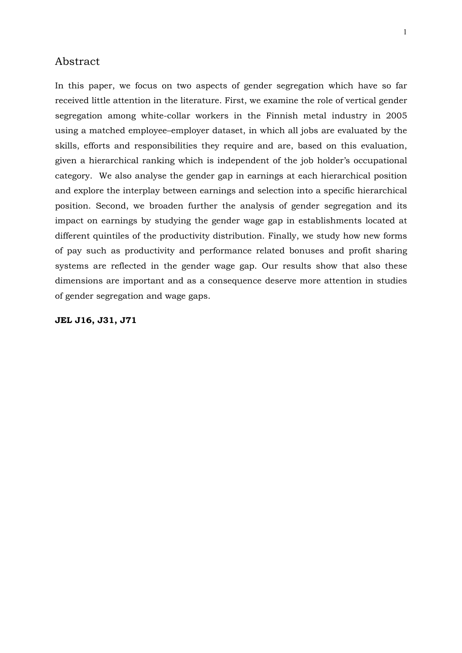#### Abstract

In this paper, we focus on two aspects of gender segregation which have so far received little attention in the literature. First, we examine the role of vertical gender segregation among white-collar workers in the Finnish metal industry in 2005 using a matched employee–employer dataset, in which all jobs are evaluated by the skills, efforts and responsibilities they require and are, based on this evaluation, given a hierarchical ranking which is independent of the job holder's occupational category. We also analyse the gender gap in earnings at each hierarchical position and explore the interplay between earnings and selection into a specific hierarchical position. Second, we broaden further the analysis of gender segregation and its impact on earnings by studying the gender wage gap in establishments located at different quintiles of the productivity distribution. Finally, we study how new forms of pay such as productivity and performance related bonuses and profit sharing systems are reflected in the gender wage gap. Our results show that also these dimensions are important and as a consequence deserve more attention in studies of gender segregation and wage gaps.

#### **JEL J16, J31, J71**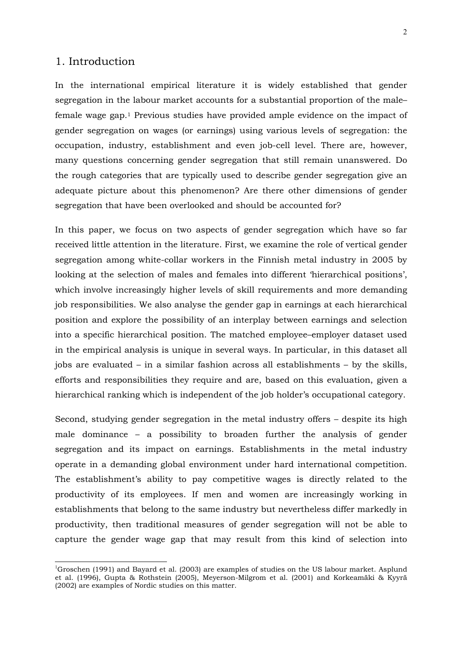#### 1. Introduction

 $\overline{a}$ 

In the international empirical literature it is widely established that gender segregation in the labour market accounts for a substantial proportion of the male– female wage gap.1 Previous studies have provided ample evidence on the impact of gender segregation on wages (or earnings) using various levels of segregation: the occupation, industry, establishment and even job-cell level. There are, however, many questions concerning gender segregation that still remain unanswered. Do the rough categories that are typically used to describe gender segregation give an adequate picture about this phenomenon? Are there other dimensions of gender segregation that have been overlooked and should be accounted for?

In this paper, we focus on two aspects of gender segregation which have so far received little attention in the literature. First, we examine the role of vertical gender segregation among white-collar workers in the Finnish metal industry in 2005 by looking at the selection of males and females into different 'hierarchical positions', which involve increasingly higher levels of skill requirements and more demanding job responsibilities. We also analyse the gender gap in earnings at each hierarchical position and explore the possibility of an interplay between earnings and selection into a specific hierarchical position. The matched employee–employer dataset used in the empirical analysis is unique in several ways. In particular, in this dataset all jobs are evaluated – in a similar fashion across all establishments – by the skills, efforts and responsibilities they require and are, based on this evaluation, given a hierarchical ranking which is independent of the job holder's occupational category.

Second, studying gender segregation in the metal industry offers – despite its high male dominance – a possibility to broaden further the analysis of gender segregation and its impact on earnings. Establishments in the metal industry operate in a demanding global environment under hard international competition. The establishment's ability to pay competitive wages is directly related to the productivity of its employees. If men and women are increasingly working in establishments that belong to the same industry but nevertheless differ markedly in productivity, then traditional measures of gender segregation will not be able to capture the gender wage gap that may result from this kind of selection into

<sup>&</sup>lt;sup>1</sup>Groschen (1991) and Bayard et al. (2003) are examples of studies on the US labour market. Asplund et al. (1996), Gupta & Rothstein (2005), Meyerson-Milgrom et al. (2001) and Korkeamäki & Kyyrä (2002) are examples of Nordic studies on this matter.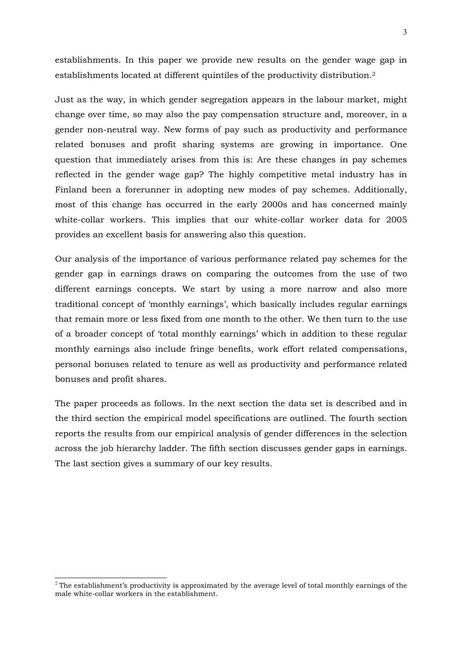establishments. In this paper we provide new results on the gender wage gap in establishments located at different quintiles of the productivity distribution.2

Just as the way, in which gender segregation appears in the labour market, might change over time, so may also the pay compensation structure and, moreover, in a gender non-neutral way. New forms of pay such as productivity and performance related bonuses and profit sharing systems are growing in importance. One question that immediately arises from this is: Are these changes in pay schemes reflected in the gender wage gap? The highly competitive metal industry has in Finland been a forerunner in adopting new modes of pay schemes. Additionally, most of this change has occurred in the early 2000s and has concerned mainly white-collar workers. This implies that our white-collar worker data for 2005 provides an excellent basis for answering also this question.

Our analysis of the importance of various performance related pay schemes for the gender gap in earnings draws on comparing the outcomes from the use of two different earnings concepts. We start by using a more narrow and also more traditional concept of 'monthly earnings', which basically includes regular earnings that remain more or less fixed from one month to the other. We then turn to the use of a broader concept of 'total monthly earnings' which in addition to these regular monthly earnings also include fringe benefits, work effort related compensations, personal bonuses related to tenure as well as productivity and performance related bonuses and profit shares.

The paper proceeds as follows. In the next section the data set is described and in the third section the empirical model specifications are outlined. The fourth section reports the results from our empirical analysis of gender differences in the selection across the job hierarchy ladder. The fifth section discusses gender gaps in earnings. The last section gives a summary of our key results.

 $\overline{a}$ 

<sup>&</sup>lt;sup>2</sup> The establishment's productivity is approximated by the average level of total monthly earnings of the male white-collar workers in the establishment.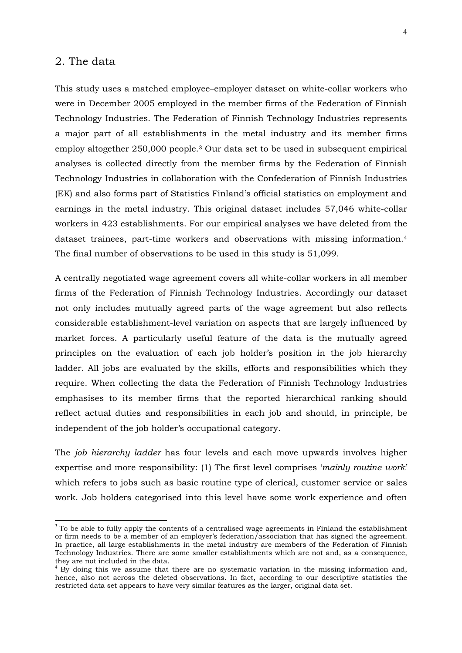#### 2. The data

 $\overline{a}$ 

This study uses a matched employee–employer dataset on white-collar workers who were in December 2005 employed in the member firms of the Federation of Finnish Technology Industries. The Federation of Finnish Technology Industries represents a major part of all establishments in the metal industry and its member firms employ altogether 250,000 people.3 Our data set to be used in subsequent empirical analyses is collected directly from the member firms by the Federation of Finnish Technology Industries in collaboration with the Confederation of Finnish Industries (EK) and also forms part of Statistics Finland's official statistics on employment and earnings in the metal industry. This original dataset includes 57,046 white-collar workers in 423 establishments. For our empirical analyses we have deleted from the dataset trainees, part-time workers and observations with missing information.4 The final number of observations to be used in this study is 51,099.

A centrally negotiated wage agreement covers all white-collar workers in all member firms of the Federation of Finnish Technology Industries. Accordingly our dataset not only includes mutually agreed parts of the wage agreement but also reflects considerable establishment-level variation on aspects that are largely influenced by market forces. A particularly useful feature of the data is the mutually agreed principles on the evaluation of each job holder's position in the job hierarchy ladder. All jobs are evaluated by the skills, efforts and responsibilities which they require. When collecting the data the Federation of Finnish Technology Industries emphasises to its member firms that the reported hierarchical ranking should reflect actual duties and responsibilities in each job and should, in principle, be independent of the job holder's occupational category.

The *job hierarchy ladder* has four levels and each move upwards involves higher expertise and more responsibility: (1) The first level comprises '*mainly routine work*' which refers to jobs such as basic routine type of clerical, customer service or sales work. Job holders categorised into this level have some work experience and often

 $3$  To be able to fully apply the contents of a centralised wage agreements in Finland the establishment or firm needs to be a member of an employer's federation/association that has signed the agreement. In practice, all large establishments in the metal industry are members of the Federation of Finnish Technology Industries. There are some smaller establishments which are not and, as a consequence, they are not included in the data.

<sup>&</sup>lt;sup>4</sup> By doing this we assume that there are no systematic variation in the missing information and, hence, also not across the deleted observations. In fact, according to our descriptive statistics the restricted data set appears to have very similar features as the larger, original data set.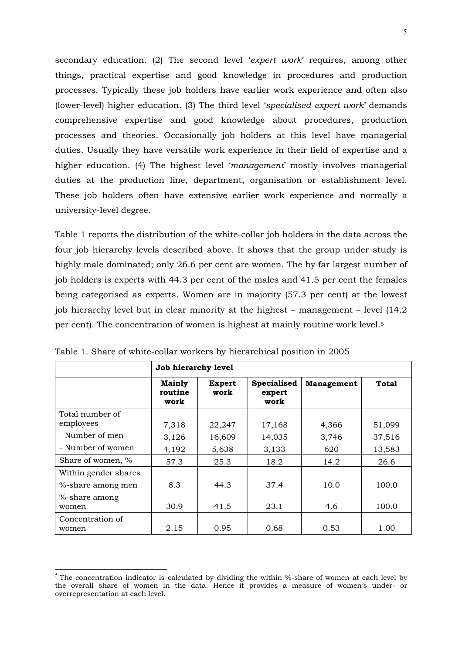secondary education. (2) The second level '*expert work*' requires, among other things, practical expertise and good knowledge in procedures and production processes. Typically these job holders have earlier work experience and often also (lower-level) higher education. (3) The third level '*specialised expert work*' demands comprehensive expertise and good knowledge about procedures, production processes and theories. Occasionally job holders at this level have managerial duties. Usually they have versatile work experience in their field of expertise and a higher education. (4) The highest level '*management*' mostly involves managerial duties at the production line, department, organisation or establishment level. These job holders often have extensive earlier work experience and normally a university-level degree.

Table 1 reports the distribution of the white-collar job holders in the data across the four job hierarchy levels described above. It shows that the group under study is highly male dominated; only 26.6 per cent are women. The by far largest number of job holders is experts with 44.3 per cent of the males and 41.5 per cent the females being categorised as experts. Women are in majority (57.3 per cent) at the lowest job hierarchy level but in clear minority at the highest – management – level (14.2 per cent). The concentration of women is highest at mainly routine work level.5

|                                           | Job hierarchy level              |                       |                                      |                   |              |  |  |
|-------------------------------------------|----------------------------------|-----------------------|--------------------------------------|-------------------|--------------|--|--|
|                                           | <b>Mainly</b><br>routine<br>work | <b>Expert</b><br>work | <b>Specialised</b><br>expert<br>work | <b>Management</b> | <b>Total</b> |  |  |
| Total number of<br>employees              | 7,318                            | 22,247                | 17,168                               | 4,366             | 51,099       |  |  |
| - Number of men                           | 3,126                            | 16,609                | 14,035                               | 3,746             | 37,516       |  |  |
| - Number of women                         | 4,192                            | 5,638                 | 3,133                                | 620               | 13,583       |  |  |
| Share of women, %                         | 57.3                             | 25.3                  | 18.2                                 | 14.2              | 26.6         |  |  |
| Within gender shares<br>%-share among men | 8.3                              | 44.3                  | 37.4                                 | 10.0              | 100.0        |  |  |
| %-share among<br>women                    | 30.9                             | 41.5                  | 23.1                                 | 4.6               | 100.0        |  |  |
| Concentration of<br>women                 | 2.15                             | 0.95                  | 0.68                                 | 0.53              | 1.00         |  |  |

Table 1. Share of white-collar workers by hierarchical position in 2005

 $\overline{a}$ 

<sup>&</sup>lt;sup>5</sup> The concentration indicator is calculated by dividing the within %-share of women at each level by the overall share of women in the data. Hence it provides a measure of women's under- or overrepresentation at each level.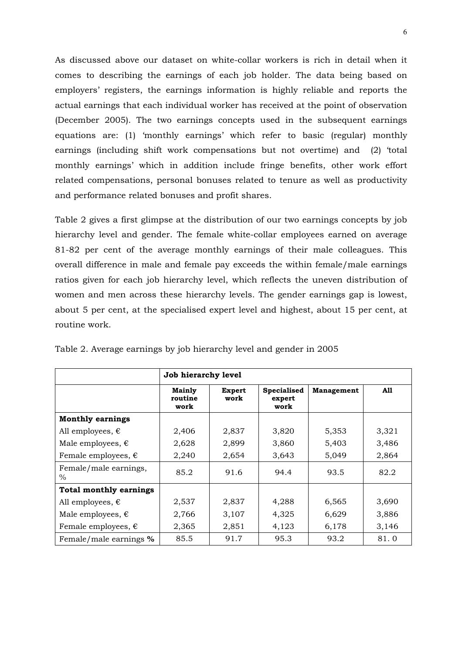As discussed above our dataset on white-collar workers is rich in detail when it comes to describing the earnings of each job holder. The data being based on employers' registers, the earnings information is highly reliable and reports the actual earnings that each individual worker has received at the point of observation (December 2005). The two earnings concepts used in the subsequent earnings equations are: (1) 'monthly earnings' which refer to basic (regular) monthly earnings (including shift work compensations but not overtime) and (2) 'total monthly earnings' which in addition include fringe benefits, other work effort related compensations, personal bonuses related to tenure as well as productivity and performance related bonuses and profit shares.

Table 2 gives a first glimpse at the distribution of our two earnings concepts by job hierarchy level and gender. The female white-collar employees earned on average 81-82 per cent of the average monthly earnings of their male colleagues. This overall difference in male and female pay exceeds the within female/male earnings ratios given for each job hierarchy level, which reflects the uneven distribution of women and men across these hierarchy levels. The gender earnings gap is lowest, about 5 per cent, at the specialised expert level and highest, about 15 per cent, at routine work.

|                               | Job hierarchy level       |                       |                               |            |       |  |  |
|-------------------------------|---------------------------|-----------------------|-------------------------------|------------|-------|--|--|
|                               | Mainly<br>routine<br>work | <b>Expert</b><br>work | Specialised<br>expert<br>work | Management | A11   |  |  |
| <b>Monthly earnings</b>       |                           |                       |                               |            |       |  |  |
| All employees, $\epsilon$     | 2,406                     | 2,837                 | 3,820                         | 5,353      | 3,321 |  |  |
| Male employees, $\epsilon$    | 2,628                     | 2,899                 | 3,860                         | 5,403      | 3,486 |  |  |
| Female employees, $\epsilon$  | 2,240                     | 2,654                 | 3,643                         | 5,049      | 2,864 |  |  |
| Female/male earnings,<br>$\%$ | 85.2                      | 91.6                  | 94.4                          | 93.5       | 82.2  |  |  |
| <b>Total monthly earnings</b> |                           |                       |                               |            |       |  |  |
| All employees, $\epsilon$     | 2,537                     | 2,837                 | 4,288                         | 6,565      | 3,690 |  |  |
| Male employees, $\epsilon$    | 2,766                     | 3,107                 | 4,325                         | 6,629      | 3,886 |  |  |
| Female employees, $\epsilon$  | 2,365                     | 2,851                 | 4,123                         | 6,178      | 3,146 |  |  |
| Female/male earnings %        | 85.5                      | 91.7                  | 95.3                          | 93.2       | 81.0  |  |  |

Table 2. Average earnings by job hierarchy level and gender in 2005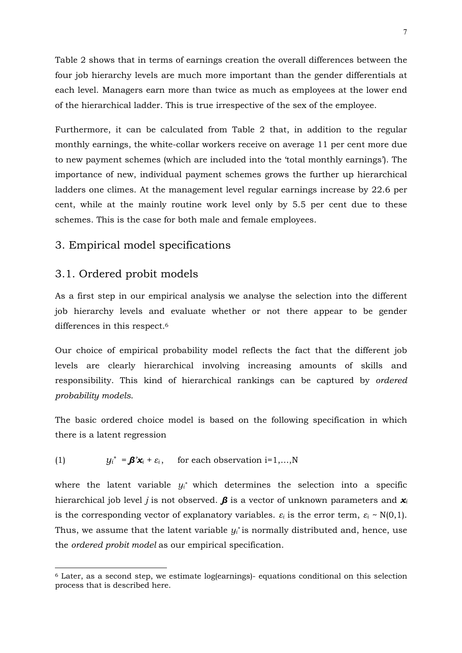Table 2 shows that in terms of earnings creation the overall differences between the four job hierarchy levels are much more important than the gender differentials at each level. Managers earn more than twice as much as employees at the lower end of the hierarchical ladder. This is true irrespective of the sex of the employee.

Furthermore, it can be calculated from Table 2 that, in addition to the regular monthly earnings, the white-collar workers receive on average 11 per cent more due to new payment schemes (which are included into the 'total monthly earnings'). The importance of new, individual payment schemes grows the further up hierarchical ladders one climes. At the management level regular earnings increase by 22.6 per cent, while at the mainly routine work level only by 5.5 per cent due to these schemes. This is the case for both male and female employees.

### 3. Empirical model specifications

#### 3.1. Ordered probit models

 $\overline{a}$ 

As a first step in our empirical analysis we analyse the selection into the different job hierarchy levels and evaluate whether or not there appear to be gender differences in this respect.6

Our choice of empirical probability model reflects the fact that the different job levels are clearly hierarchical involving increasing amounts of skills and responsibility. This kind of hierarchical rankings can be captured by *ordered probability models*.

The basic ordered choice model is based on the following specification in which there is a latent regression

(1) 
$$
y_i^* = \beta' x_i + \varepsilon_i
$$
, for each observation i=1,...,N

where the latent variable  $y_i^*$  which determines the selection into a specific hierarchical job level *j* is not observed. *β* is a vector of unknown parameters and *x<sup>i</sup>* is the corresponding vector of explanatory variables.  $\varepsilon_i$  is the error term,  $\varepsilon_i \sim N(0,1)$ . Thus, we assume that the latent variable *yi \** is normally distributed and, hence, use the *ordered probit model* as our empirical specification.

<sup>6</sup> Later, as a second step, we estimate log(earnings)- equations conditional on this selection process that is described here.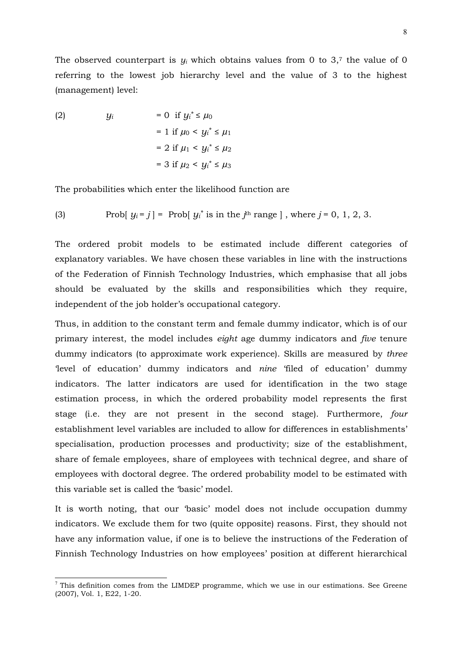The observed counterpart is  $y_i$  which obtains values from 0 to 3,<sup>7</sup> the value of 0 referring to the lowest job hierarchy level and the value of 3 to the highest (management) level:

(2) 
$$
y_i = 0
$$
 if  $y_i^* \le \mu_0$   
\n $= 1$  if  $\mu_0 < y_i^* \le \mu_1$   
\n $= 2$  if  $\mu_1 < y_i^* \le \mu_2$   
\n $= 3$  if  $\mu_2 < y_i^* \le \mu_3$ 

 $\overline{a}$ 

The probabilities which enter the likelihood function are

(3) Prob[
$$
y_i = j
$$
] = Prob[ $y_i^*$  is in the  $j^{\text{th}}$  range], where  $j = 0, 1, 2, 3$ .

The ordered probit models to be estimated include different categories of explanatory variables. We have chosen these variables in line with the instructions of the Federation of Finnish Technology Industries, which emphasise that all jobs should be evaluated by the skills and responsibilities which they require, independent of the job holder's occupational category.

Thus, in addition to the constant term and female dummy indicator, which is of our primary interest, the model includes *eight* age dummy indicators and *five* tenure dummy indicators (to approximate work experience). Skills are measured by *three* 'level of education' dummy indicators and *nine* 'filed of education' dummy indicators. The latter indicators are used for identification in the two stage estimation process, in which the ordered probability model represents the first stage (i.e. they are not present in the second stage). Furthermore, *four* establishment level variables are included to allow for differences in establishments' specialisation, production processes and productivity; size of the establishment, share of female employees, share of employees with technical degree, and share of employees with doctoral degree. The ordered probability model to be estimated with this variable set is called the 'basic' model.

It is worth noting, that our 'basic' model does not include occupation dummy indicators. We exclude them for two (quite opposite) reasons. First, they should not have any information value, if one is to believe the instructions of the Federation of Finnish Technology Industries on how employees' position at different hierarchical

<sup>&</sup>lt;sup>7</sup> This definition comes from the LIMDEP programme, which we use in our estimations. See Greene (2007), Vol. 1, E22, 1-20.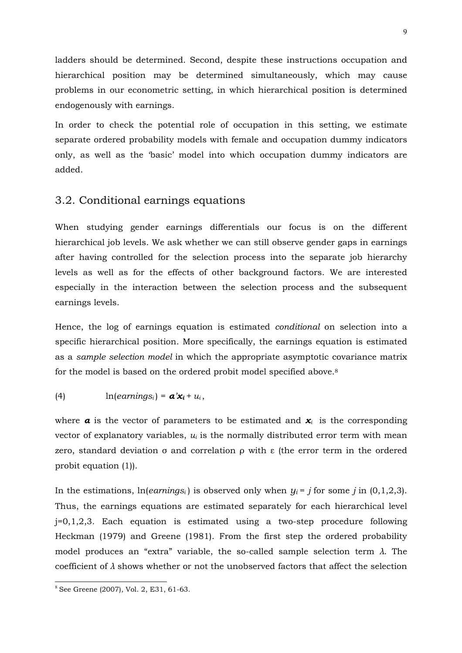ladders should be determined. Second, despite these instructions occupation and hierarchical position may be determined simultaneously, which may cause problems in our econometric setting, in which hierarchical position is determined endogenously with earnings.

In order to check the potential role of occupation in this setting, we estimate separate ordered probability models with female and occupation dummy indicators only, as well as the 'basic' model into which occupation dummy indicators are added.

#### 3.2. Conditional earnings equations

When studying gender earnings differentials our focus is on the different hierarchical job levels. We ask whether we can still observe gender gaps in earnings after having controlled for the selection process into the separate job hierarchy levels as well as for the effects of other background factors. We are interested especially in the interaction between the selection process and the subsequent earnings levels.

Hence, the log of earnings equation is estimated *conditional* on selection into a specific hierarchical position. More specifically, the earnings equation is estimated as a *sample selection model* in which the appropriate asymptotic covariance matrix for the model is based on the ordered probit model specified above.8

(4) 
$$
\ln(earnings_i) = \mathbf{a}'\mathbf{x}_i + u_i
$$
,

where  $\alpha$  is the vector of parameters to be estimated and  $\mathbf{x}_i$  is the corresponding vector of explanatory variables,  $u_i$  is the normally distributed error term with mean zero, standard deviation  $\sigma$  and correlation  $\rho$  with  $\varepsilon$  (the error term in the ordered probit equation (1)).

In the estimations,  $ln(earnings<sub>i</sub>)$  is observed only when  $y<sub>i</sub> = j$  for some *j* in (0,1,2,3). Thus, the earnings equations are estimated separately for each hierarchical level j=0,1,2,3*.* Each equation is estimated using a two-step procedure following Heckman (1979) and Greene (1981). From the first step the ordered probability model produces an "extra" variable, the so-called sample selection term *λ*. The coefficient of *λ* shows whether or not the unobserved factors that affect the selection

 $\overline{a}$ 

<sup>8</sup> See Greene (2007), Vol. 2, E31, 61-63.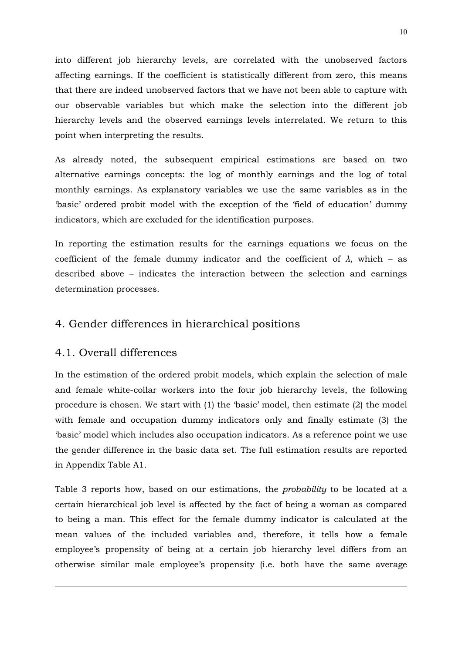into different job hierarchy levels, are correlated with the unobserved factors affecting earnings. If the coefficient is statistically different from zero, this means that there are indeed unobserved factors that we have not been able to capture with our observable variables but which make the selection into the different job hierarchy levels and the observed earnings levels interrelated. We return to this point when interpreting the results.

As already noted, the subsequent empirical estimations are based on two alternative earnings concepts: the log of monthly earnings and the log of total monthly earnings. As explanatory variables we use the same variables as in the 'basic' ordered probit model with the exception of the 'field of education' dummy indicators, which are excluded for the identification purposes.

In reporting the estimation results for the earnings equations we focus on the coefficient of the female dummy indicator and the coefficient of  $\lambda$ , which – as described above – indicates the interaction between the selection and earnings determination processes.

# 4. Gender differences in hierarchical positions

## 4.1. Overall differences

 $\overline{a}$ 

In the estimation of the ordered probit models, which explain the selection of male and female white-collar workers into the four job hierarchy levels, the following procedure is chosen. We start with (1) the 'basic' model, then estimate (2) the model with female and occupation dummy indicators only and finally estimate (3) the 'basic' model which includes also occupation indicators. As a reference point we use the gender difference in the basic data set. The full estimation results are reported in Appendix Table A1.

Table 3 reports how, based on our estimations, the *probability* to be located at a certain hierarchical job level is affected by the fact of being a woman as compared to being a man. This effect for the female dummy indicator is calculated at the mean values of the included variables and, therefore, it tells how a female employee's propensity of being at a certain job hierarchy level differs from an otherwise similar male employee's propensity (i.e. both have the same average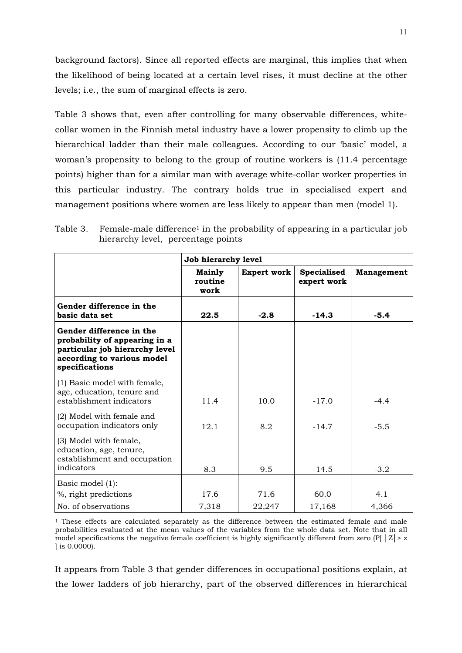background factors). Since all reported effects are marginal, this implies that when the likelihood of being located at a certain level rises, it must decline at the other levels; i.e., the sum of marginal effects is zero.

Table 3 shows that, even after controlling for many observable differences, whitecollar women in the Finnish metal industry have a lower propensity to climb up the hierarchical ladder than their male colleagues. According to our 'basic' model, a woman's propensity to belong to the group of routine workers is (11.4 percentage points) higher than for a similar man with average white-collar worker properties in this particular industry. The contrary holds true in specialised expert and management positions where women are less likely to appear than men (model 1).

|                                                                                                                                             | Job hierarchy level              |                    |                                   |                   |  |  |
|---------------------------------------------------------------------------------------------------------------------------------------------|----------------------------------|--------------------|-----------------------------------|-------------------|--|--|
|                                                                                                                                             | <b>Mainly</b><br>routine<br>work | <b>Expert work</b> | <b>Specialised</b><br>expert work | <b>Management</b> |  |  |
| Gender difference in the<br>basic data set                                                                                                  | 22.5                             | $-2.8$             | $-14.3$                           | $-5.4$            |  |  |
| Gender difference in the<br>probability of appearing in a<br>particular job hierarchy level<br>according to various model<br>specifications |                                  |                    |                                   |                   |  |  |
| (1) Basic model with female,<br>age, education, tenure and<br>establishment indicators                                                      | 11.4                             | 10.0               | $-17.0$                           | $-4.4$            |  |  |
| (2) Model with female and<br>occupation indicators only                                                                                     | 12.1                             | 8.2                | $-14.7$                           | $-5.5$            |  |  |
| (3) Model with female,<br>education, age, tenure,<br>establishment and occupation<br>indicators                                             | 8.3                              | 9.5                | $-14.5$                           | $-3.2$            |  |  |
| Basic model (1):<br>%, right predictions                                                                                                    | 17.6                             | 71.6               | 60.0                              | 4.1               |  |  |
| No. of observations                                                                                                                         | 7,318                            | 22,247             | 17,168                            | 4,366             |  |  |

Table 3. Female-male difference<sup>1</sup> in the probability of appearing in a particular job hierarchy level, percentage points

 $1$  These effects are calculated separately as the difference between the estimated female and male probabilities evaluated at the mean values of the variables from the whole data set. Note that in all model specifications the negative female coefficient is highly significantly different from zero (P[ $|Z|$ > z ] is 0.0000).

It appears from Table 3 that gender differences in occupational positions explain, at the lower ladders of job hierarchy, part of the observed differences in hierarchical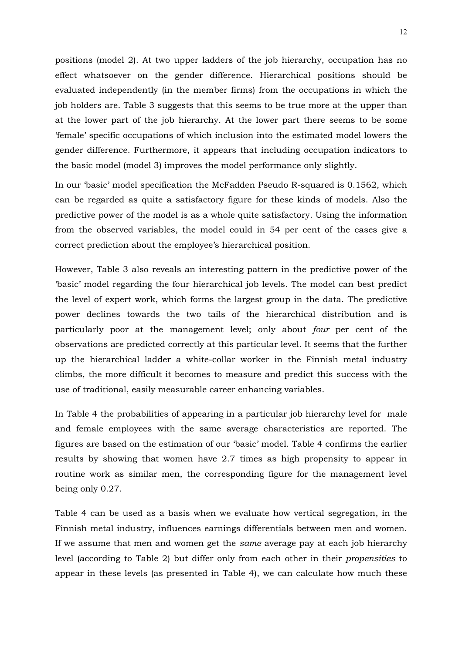positions (model 2). At two upper ladders of the job hierarchy, occupation has no effect whatsoever on the gender difference. Hierarchical positions should be evaluated independently (in the member firms) from the occupations in which the job holders are. Table 3 suggests that this seems to be true more at the upper than at the lower part of the job hierarchy. At the lower part there seems to be some 'female' specific occupations of which inclusion into the estimated model lowers the gender difference. Furthermore, it appears that including occupation indicators to the basic model (model 3) improves the model performance only slightly.

In our 'basic' model specification the McFadden Pseudo R-squared is 0.1562, which can be regarded as quite a satisfactory figure for these kinds of models. Also the predictive power of the model is as a whole quite satisfactory. Using the information from the observed variables, the model could in 54 per cent of the cases give a correct prediction about the employee's hierarchical position.

However, Table 3 also reveals an interesting pattern in the predictive power of the 'basic' model regarding the four hierarchical job levels. The model can best predict the level of expert work, which forms the largest group in the data. The predictive power declines towards the two tails of the hierarchical distribution and is particularly poor at the management level; only about *four* per cent of the observations are predicted correctly at this particular level. It seems that the further up the hierarchical ladder a white-collar worker in the Finnish metal industry climbs, the more difficult it becomes to measure and predict this success with the use of traditional, easily measurable career enhancing variables.

In Table 4 the probabilities of appearing in a particular job hierarchy level for male and female employees with the same average characteristics are reported. The figures are based on the estimation of our 'basic' model. Table 4 confirms the earlier results by showing that women have 2.7 times as high propensity to appear in routine work as similar men, the corresponding figure for the management level being only 0.27.

Table 4 can be used as a basis when we evaluate how vertical segregation, in the Finnish metal industry, influences earnings differentials between men and women. If we assume that men and women get the *same* average pay at each job hierarchy level (according to Table 2) but differ only from each other in their *propensities* to appear in these levels (as presented in Table 4), we can calculate how much these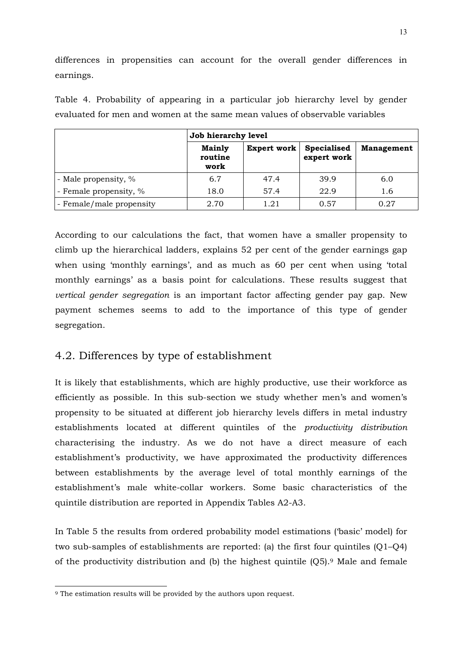differences in propensities can account for the overall gender differences in earnings.

|                          | Job hierarchy level              |             |                                   |                   |  |  |
|--------------------------|----------------------------------|-------------|-----------------------------------|-------------------|--|--|
|                          | <b>Mainly</b><br>routine<br>work | Expert work | <b>Specialised</b><br>expert work | <b>Management</b> |  |  |
| - Male propensity, %     | 6.7                              | 47.4        | 39.9                              | 6.0               |  |  |
| - Female propensity, %   | 18.0                             | 57.4        | 22.9                              | 1.6               |  |  |
| - Female/male propensity | 2.70                             | 1.21        | 0.57                              | 0.27              |  |  |

Table 4. Probability of appearing in a particular job hierarchy level by gender evaluated for men and women at the same mean values of observable variables

According to our calculations the fact, that women have a smaller propensity to climb up the hierarchical ladders, explains 52 per cent of the gender earnings gap when using 'monthly earnings', and as much as 60 per cent when using 'total monthly earnings' as a basis point for calculations. These results suggest that *vertical gender segregation* is an important factor affecting gender pay gap. New payment schemes seems to add to the importance of this type of gender segregation.

# 4.2. Differences by type of establishment

It is likely that establishments, which are highly productive, use their workforce as efficiently as possible. In this sub-section we study whether men's and women's propensity to be situated at different job hierarchy levels differs in metal industry establishments located at different quintiles of the *productivity distribution* characterising the industry. As we do not have a direct measure of each establishment's productivity, we have approximated the productivity differences between establishments by the average level of total monthly earnings of the establishment's male white-collar workers. Some basic characteristics of the quintile distribution are reported in Appendix Tables A2-A3.

In Table 5 the results from ordered probability model estimations ('basic' model) for two sub-samples of establishments are reported: (a) the first four quintiles (Q1–Q4) of the productivity distribution and (b) the highest quintile  $(Q5)$ .<sup>9</sup> Male and female

 $\overline{a}$ 

<sup>9</sup> The estimation results will be provided by the authors upon request.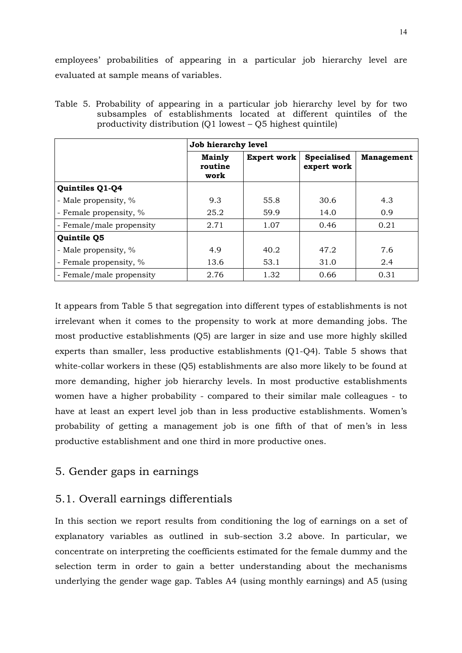employees' probabilities of appearing in a particular job hierarchy level are evaluated at sample means of variables.

|                          | Job hierarchy level              |                    |                                   |                   |  |  |  |
|--------------------------|----------------------------------|--------------------|-----------------------------------|-------------------|--|--|--|
|                          | <b>Mainly</b><br>routine<br>work | <b>Expert work</b> | <b>Specialised</b><br>expert work | <b>Management</b> |  |  |  |
| Quintiles Q1-Q4          |                                  |                    |                                   |                   |  |  |  |
| - Male propensity, %     | 9.3                              | 55.8               | 30.6                              | 4.3               |  |  |  |
| - Female propensity, %   | 25.2                             | 59.9               | 14.0                              | 0.9               |  |  |  |
| - Female/male propensity | 2.71                             | 1.07               | 0.46                              | 0.21              |  |  |  |
| Quintile Q5              |                                  |                    |                                   |                   |  |  |  |
| - Male propensity, %     | 4.9                              | 40.2               | 47.2                              | 7.6               |  |  |  |
| - Female propensity, %   | 13.6                             | 53.1               | 31.0                              | 2.4               |  |  |  |
| - Female/male propensity | 2.76                             | 1.32               | 0.66                              | 0.31              |  |  |  |

Table 5. Probability of appearing in a particular job hierarchy level by for two subsamples of establishments located at different quintiles of the productivity distribution (Q1 lowest – Q5 highest quintile)

It appears from Table 5 that segregation into different types of establishments is not irrelevant when it comes to the propensity to work at more demanding jobs. The most productive establishments (Q5) are larger in size and use more highly skilled experts than smaller, less productive establishments (Q1-Q4). Table 5 shows that white-collar workers in these (Q5) establishments are also more likely to be found at more demanding, higher job hierarchy levels. In most productive establishments women have a higher probability - compared to their similar male colleagues - to have at least an expert level job than in less productive establishments. Women's probability of getting a management job is one fifth of that of men's in less productive establishment and one third in more productive ones.

## 5. Gender gaps in earnings

# 5.1. Overall earnings differentials

In this section we report results from conditioning the log of earnings on a set of explanatory variables as outlined in sub-section 3.2 above. In particular, we concentrate on interpreting the coefficients estimated for the female dummy and the selection term in order to gain a better understanding about the mechanisms underlying the gender wage gap. Tables A4 (using monthly earnings) and A5 (using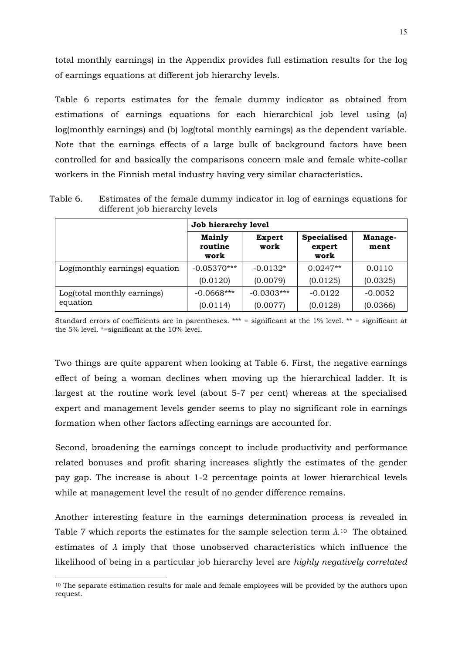total monthly earnings) in the Appendix provides full estimation results for the log of earnings equations at different job hierarchy levels.

Table 6 reports estimates for the female dummy indicator as obtained from estimations of earnings equations for each hierarchical job level using (a) log(monthly earnings) and (b) log(total monthly earnings) as the dependent variable. Note that the earnings effects of a large bulk of background factors have been controlled for and basically the comparisons concern male and female white-collar workers in the Finnish metal industry having very similar characteristics.

Table 6. Estimates of the female dummy indicator in log of earnings equations for different job hierarchy levels **Job hierarchy level**   $\overline{\phantom{0}}$  $\mathsf{r}$ 

|                                | Job nierarchy level              |                |                               |                 |  |  |
|--------------------------------|----------------------------------|----------------|-------------------------------|-----------------|--|--|
|                                | <b>Mainly</b><br>routine<br>work | Expert<br>work | Specialised<br>expert<br>work | Manage-<br>ment |  |  |
| Log(monthly earnings) equation | $-0.05370***$                    | $-0.0132*$     | $0.0247**$                    | 0.0110          |  |  |
|                                | (0.0120)                         | (0.0079)       | (0.0125)                      | (0.0325)        |  |  |
| Log(total monthly earnings)    | $-0.0668***$                     | $-0.0303***$   | $-0.0122$                     | $-0.0052$       |  |  |
| equation                       | (0.0114)                         | (0.0077)       | (0.0128)                      | (0.0366)        |  |  |

Standard errors of coefficients are in parentheses. \*\*\* = significant at the  $1\%$  level. \*\* = significant at the 5% level. \*=significant at the 10% level.

Two things are quite apparent when looking at Table 6. First, the negative earnings effect of being a woman declines when moving up the hierarchical ladder. It is largest at the routine work level (about 5-7 per cent) whereas at the specialised expert and management levels gender seems to play no significant role in earnings formation when other factors affecting earnings are accounted for.

Second, broadening the earnings concept to include productivity and performance related bonuses and profit sharing increases slightly the estimates of the gender pay gap. The increase is about 1-2 percentage points at lower hierarchical levels while at management level the result of no gender difference remains.

Another interesting feature in the earnings determination process is revealed in Table 7 which reports the estimates for the sample selection term  $\lambda$ .<sup>10</sup> The obtained estimates of *λ* imply that those unobserved characteristics which influence the likelihood of being in a particular job hierarchy level are *highly negatively correlated*

 $\overline{a}$ 

<sup>10</sup> The separate estimation results for male and female employees will be provided by the authors upon request.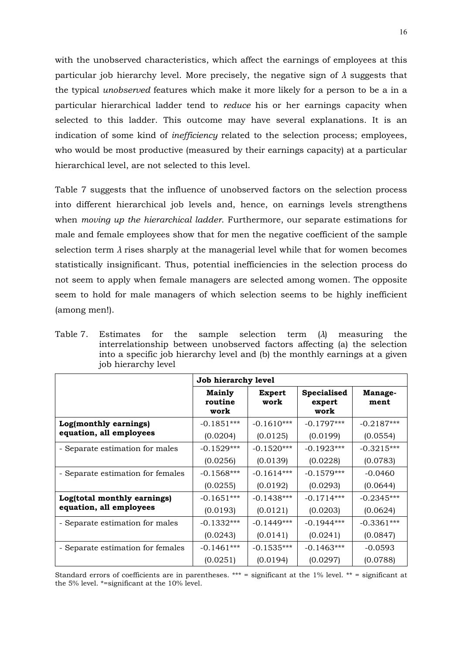with the unobserved characteristics, which affect the earnings of employees at this particular job hierarchy level. More precisely, the negative sign of *λ* suggests that the typical *unobserved* features which make it more likely for a person to be a in a particular hierarchical ladder tend to *reduce* his or her earnings capacity when selected to this ladder. This outcome may have several explanations. It is an indication of some kind of *inefficiency* related to the selection process; employees, who would be most productive (measured by their earnings capacity) at a particular hierarchical level, are not selected to this level.

Table 7 suggests that the influence of unobserved factors on the selection process into different hierarchical job levels and, hence, on earnings levels strengthens when *moving up the hierarchical ladder*. Furthermore, our separate estimations for male and female employees show that for men the negative coefficient of the sample selection term  $\lambda$  rises sharply at the managerial level while that for women becomes statistically insignificant. Thus, potential inefficiencies in the selection process do not seem to apply when female managers are selected among women. The opposite seem to hold for male managers of which selection seems to be highly inefficient (among men!).

Table 7. Estimates for the sample selection term (*λ*) measuring the interrelationship between unobserved factors affecting (a) the selection into a specific job hierarchy level and (b) the monthly earnings at a given job hierarchy level

|                                   | Job hierarchy level              |                       |                                      |                 |  |  |
|-----------------------------------|----------------------------------|-----------------------|--------------------------------------|-----------------|--|--|
|                                   | <b>Mainly</b><br>routine<br>work | <b>Expert</b><br>work | <b>Specialised</b><br>expert<br>work | Manage-<br>ment |  |  |
| Log(monthly earnings)             | $-0.1851***$                     | $-0.1610***$          | $-0.1797***$                         | $-0.2187***$    |  |  |
| equation, all employees           | (0.0204)                         | (0.0125)              | (0.0199)                             | (0.0554)        |  |  |
| - Separate estimation for males   | $-0.1529***$                     | $-0.1520***$          | $-0.1923***$                         | $-0.3215***$    |  |  |
|                                   | (0.0256)                         | (0.0139)              | (0.0228)                             | (0.0783)        |  |  |
| - Separate estimation for females | $-0.1568***$                     | $-0.1614***$          | $-0.1579***$                         | $-0.0460$       |  |  |
|                                   | (0.0255)                         | (0.0192)              | (0.0293)                             | (0.0644)        |  |  |
| Log(total monthly earnings)       | $-0.1651***$                     | $-0.1438***$          | $-0.1714***$                         | $-0.2345***$    |  |  |
| equation, all employees           | (0.0193)                         | (0.0121)              | (0.0203)                             | (0.0624)        |  |  |
| - Separate estimation for males   | $-0.1332***$                     | $-0.1449***$          | $-0.1944***$                         | $-0.3361***$    |  |  |
|                                   | (0.0243)                         | (0.0141)              | (0.0241)                             | (0.0847)        |  |  |
| - Separate estimation for females | $-0.1461***$                     | $-0.1535***$          | $-0.1463***$                         | $-0.0593$       |  |  |
|                                   | (0.0251)                         | (0.0194)              | (0.0297)                             | (0.0788)        |  |  |

Standard errors of coefficients are in parentheses. \*\*\* = significant at the  $1\%$  level. \*\* = significant at the 5% level. \*=significant at the 10% level.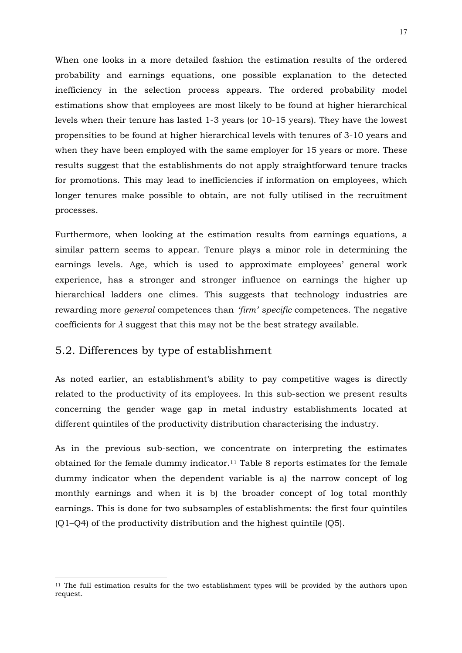When one looks in a more detailed fashion the estimation results of the ordered probability and earnings equations, one possible explanation to the detected inefficiency in the selection process appears. The ordered probability model estimations show that employees are most likely to be found at higher hierarchical levels when their tenure has lasted 1-3 years (or 10-15 years). They have the lowest propensities to be found at higher hierarchical levels with tenures of 3-10 years and when they have been employed with the same employer for 15 years or more. These results suggest that the establishments do not apply straightforward tenure tracks for promotions. This may lead to inefficiencies if information on employees, which longer tenures make possible to obtain, are not fully utilised in the recruitment processes.

Furthermore, when looking at the estimation results from earnings equations, a similar pattern seems to appear. Tenure plays a minor role in determining the earnings levels. Age, which is used to approximate employees' general work experience, has a stronger and stronger influence on earnings the higher up hierarchical ladders one climes. This suggests that technology industries are rewarding more *general* competences than *'firm' specific* competences. The negative coefficients for  $\lambda$  suggest that this may not be the best strategy available.

## 5.2. Differences by type of establishment

 $\overline{a}$ 

As noted earlier, an establishment's ability to pay competitive wages is directly related to the productivity of its employees. In this sub-section we present results concerning the gender wage gap in metal industry establishments located at different quintiles of the productivity distribution characterising the industry.

As in the previous sub-section, we concentrate on interpreting the estimates obtained for the female dummy indicator.11 Table 8 reports estimates for the female dummy indicator when the dependent variable is a) the narrow concept of log monthly earnings and when it is b) the broader concept of log total monthly earnings. This is done for two subsamples of establishments: the first four quintiles (Q1–Q4) of the productivity distribution and the highest quintile (Q5).

<sup>&</sup>lt;sup>11</sup> The full estimation results for the two establishment types will be provided by the authors upon request.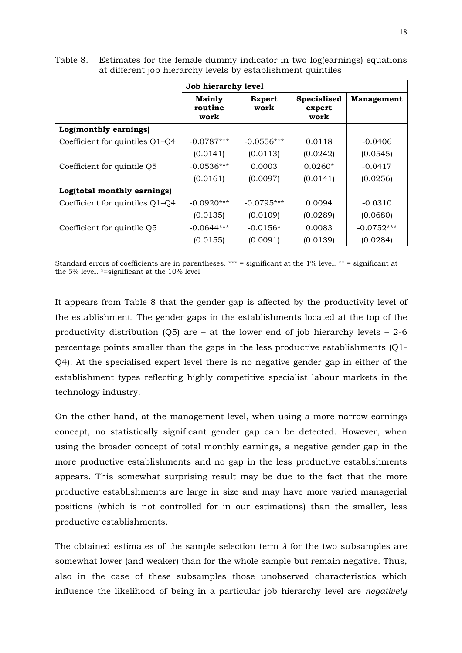|                                 | Job hierarchy level              |                       |                                      |                   |  |  |
|---------------------------------|----------------------------------|-----------------------|--------------------------------------|-------------------|--|--|
|                                 | <b>Mainly</b><br>routine<br>work | <b>Expert</b><br>work | <b>Specialised</b><br>expert<br>work | <b>Management</b> |  |  |
| Log(monthly earnings)           |                                  |                       |                                      |                   |  |  |
| Coefficient for quintiles Q1–Q4 | $-0.0787***$                     | $-0.0556***$          | 0.0118                               | $-0.0406$         |  |  |
|                                 | (0.0141)                         | (0.0113)              | (0.0242)                             | (0.0545)          |  |  |
| Coefficient for quintile Q5     | $-0.0536***$                     | 0.0003                | $0.0260*$                            | $-0.0417$         |  |  |
|                                 | (0.0161)                         | (0.0097)              | (0.0141)                             | (0.0256)          |  |  |
| Log(total monthly earnings)     |                                  |                       |                                      |                   |  |  |
| Coefficient for quintiles Q1–Q4 | $-0.0920***$                     | $-0.0795***$          | 0.0094                               | $-0.0310$         |  |  |
|                                 | (0.0135)                         | (0.0109)              | (0.0289)                             | (0.0680)          |  |  |
| Coefficient for quintile Q5     | $-0.0644***$                     | $-0.0156*$            | 0.0083                               | $-0.0752***$      |  |  |
|                                 | (0.0155)                         | (0.0091)              | (0.0139)                             | (0.0284)          |  |  |

Table 8. Estimates for the female dummy indicator in two log(earnings) equations at different job hierarchy levels by establishment quintiles

Standard errors of coefficients are in parentheses. \*\*\* = significant at the 1% level. \*\* = significant at the 5% level. \*=significant at the 10% level

It appears from Table 8 that the gender gap is affected by the productivity level of the establishment. The gender gaps in the establishments located at the top of the productivity distribution  $(Q5)$  are – at the lower end of job hierarchy levels – 2-6 percentage points smaller than the gaps in the less productive establishments (Q1- Q4). At the specialised expert level there is no negative gender gap in either of the establishment types reflecting highly competitive specialist labour markets in the technology industry.

On the other hand, at the management level, when using a more narrow earnings concept, no statistically significant gender gap can be detected. However, when using the broader concept of total monthly earnings, a negative gender gap in the more productive establishments and no gap in the less productive establishments appears. This somewhat surprising result may be due to the fact that the more productive establishments are large in size and may have more varied managerial positions (which is not controlled for in our estimations) than the smaller, less productive establishments.

The obtained estimates of the sample selection term *λ* for the two subsamples are somewhat lower (and weaker) than for the whole sample but remain negative. Thus, also in the case of these subsamples those unobserved characteristics which influence the likelihood of being in a particular job hierarchy level are *negatively*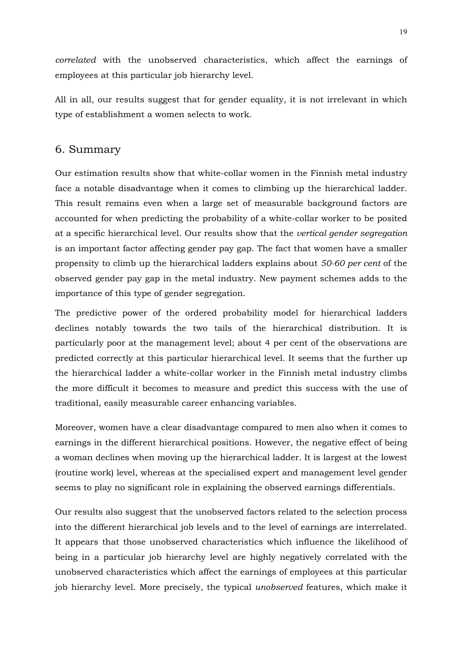*correlated* with the unobserved characteristics, which affect the earnings of employees at this particular job hierarchy level.

All in all, our results suggest that for gender equality, it is not irrelevant in which type of establishment a women selects to work.

### 6. Summary

Our estimation results show that white-collar women in the Finnish metal industry face a notable disadvantage when it comes to climbing up the hierarchical ladder. This result remains even when a large set of measurable background factors are accounted for when predicting the probability of a white-collar worker to be posited at a specific hierarchical level. Our results show that the *vertical gender segregation* is an important factor affecting gender pay gap. The fact that women have a smaller propensity to climb up the hierarchical ladders explains about *50-60 per cent* of the observed gender pay gap in the metal industry. New payment schemes adds to the importance of this type of gender segregation.

The predictive power of the ordered probability model for hierarchical ladders declines notably towards the two tails of the hierarchical distribution. It is particularly poor at the management level; about 4 per cent of the observations are predicted correctly at this particular hierarchical level. It seems that the further up the hierarchical ladder a white-collar worker in the Finnish metal industry climbs the more difficult it becomes to measure and predict this success with the use of traditional, easily measurable career enhancing variables.

Moreover, women have a clear disadvantage compared to men also when it comes to earnings in the different hierarchical positions. However, the negative effect of being a woman declines when moving up the hierarchical ladder. It is largest at the lowest (routine work) level, whereas at the specialised expert and management level gender seems to play no significant role in explaining the observed earnings differentials.

Our results also suggest that the unobserved factors related to the selection process into the different hierarchical job levels and to the level of earnings are interrelated. It appears that those unobserved characteristics which influence the likelihood of being in a particular job hierarchy level are highly negatively correlated with the unobserved characteristics which affect the earnings of employees at this particular job hierarchy level. More precisely, the typical *unobserved* features, which make it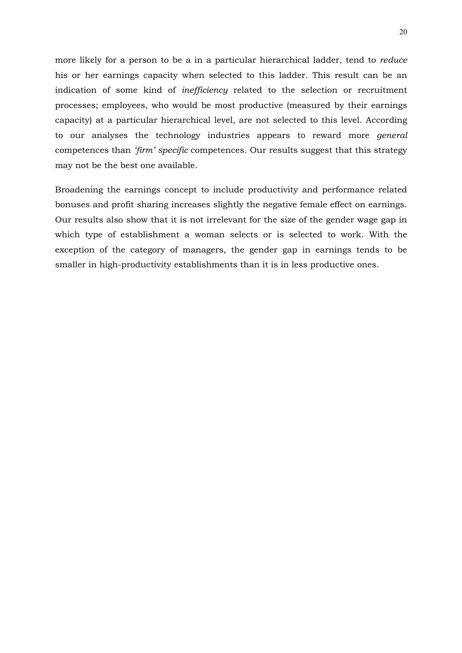more likely for a person to be a in a particular hierarchical ladder, tend to *reduce* his or her earnings capacity when selected to this ladder. This result can be an indication of some kind of *inefficiency* related to the selection or recruitment processes; employees, who would be most productive (measured by their earnings capacity) at a particular hierarchical level, are not selected to this level. According to our analyses the technology industries appears to reward more *general*  competences than *'firm' specific* competences. Our results suggest that this strategy may not be the best one available.

Broadening the earnings concept to include productivity and performance related bonuses and profit sharing increases slightly the negative female effect on earnings. Our results also show that it is not irrelevant for the size of the gender wage gap in which type of establishment a woman selects or is selected to work. With the exception of the category of managers, the gender gap in earnings tends to be smaller in high-productivity establishments than it is in less productive ones.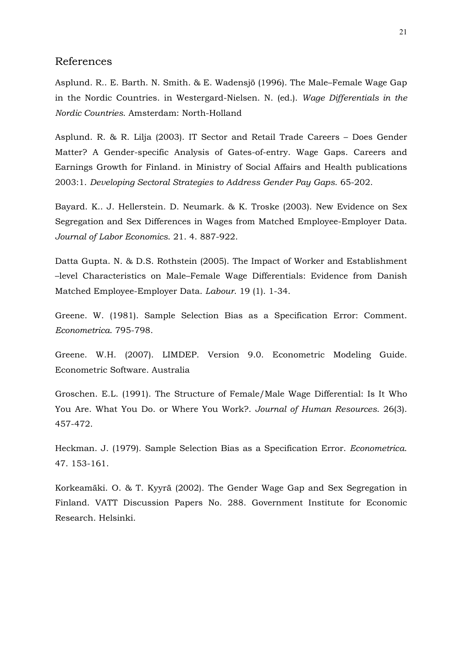#### References

Asplund. R.. E. Barth. N. Smith. & E. Wadensjö (1996). The Male–Female Wage Gap in the Nordic Countries. in Westergard-Nielsen. N. (ed.). *Wage Differentials in the Nordic Countries*. Amsterdam: North-Holland

Asplund. R. & R. Lilja (2003). IT Sector and Retail Trade Careers – Does Gender Matter? A Gender-specific Analysis of Gates-of-entry. Wage Gaps. Careers and Earnings Growth for Finland. in Ministry of Social Affairs and Health publications 2003:1. *Developing Sectoral Strategies to Address Gender Pay Gaps*. 65-202.

Bayard. K.. J. Hellerstein. D. Neumark. & K. Troske (2003). New Evidence on Sex Segregation and Sex Differences in Wages from Matched Employee-Employer Data. *Journal of Labor Economics*. 21. 4. 887-922.

Datta Gupta. N. & D.S. Rothstein (2005). The Impact of Worker and Establishment –level Characteristics on Male–Female Wage Differentials: Evidence from Danish Matched Employee-Employer Data. *Labour*. 19 (1). 1-34.

Greene. W. (1981). Sample Selection Bias as a Specification Error: Comment. *Econometrica*. 795-798.

Greene. W.H. (2007). LIMDEP. Version 9.0. Econometric Modeling Guide. Econometric Software. Australia

Groschen. E.L. (1991). The Structure of Female/Male Wage Differential: Is It Who You Are. What You Do. or Where You Work?. *Journal of Human Resources*. 26(3). 457-472.

Heckman. J. (1979). Sample Selection Bias as a Specification Error. *Econometrica*. 47. 153-161.

Korkeamäki. O. & T. Kyyrä (2002). The Gender Wage Gap and Sex Segregation in Finland. VATT Discussion Papers No. 288. Government Institute for Economic Research. Helsinki.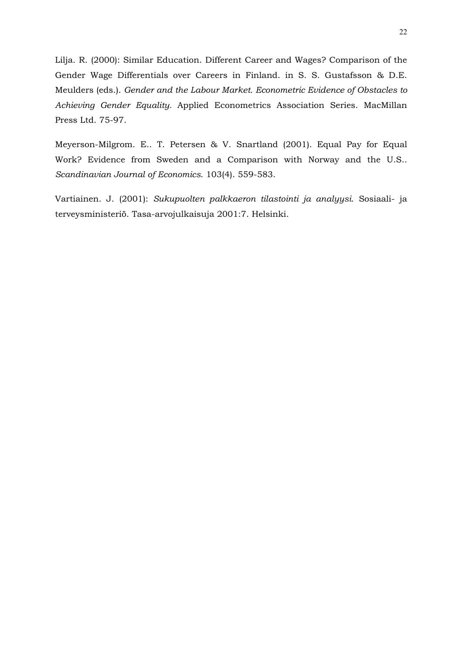Lilja. R. (2000): Similar Education. Different Career and Wages? Comparison of the Gender Wage Differentials over Careers in Finland. in S. S. Gustafsson & D.E. Meulders (eds.). *Gender and the Labour Market. Econometric Evidence of Obstacles to Achieving Gender Equality.* Applied Econometrics Association Series. MacMillan Press Ltd. 75-97.

Meyerson-Milgrom. E.. T. Petersen & V. Snartland (2001). Equal Pay for Equal Work? Evidence from Sweden and a Comparison with Norway and the U.S.. *Scandinavian Journal of Economics*. 103(4). 559-583.

Vartiainen. J. (2001): *Sukupuolten palkkaeron tilastointi ja analyysi*. Sosiaali- ja terveysministeriö. Tasa-arvojulkaisuja 2001:7. Helsinki.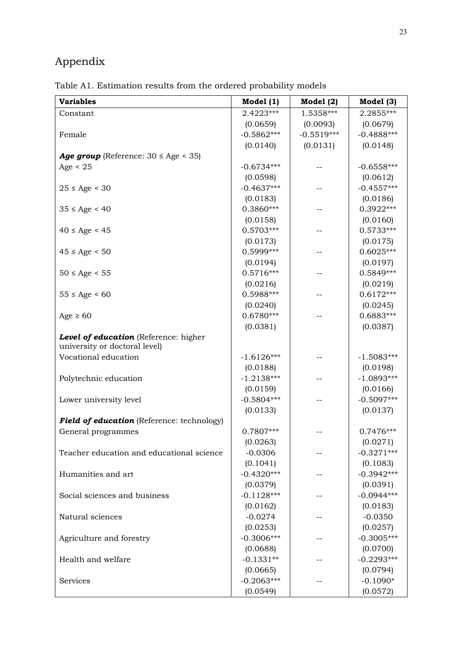# Appendix

Table A1. Estimation results from the ordered probability models

| <b>Variables</b>                              | Model $(1)$  | Model $(2)$  | Model (3)    |
|-----------------------------------------------|--------------|--------------|--------------|
| Constant                                      | 2.4223***    | 1.5358***    | 2.2855***    |
|                                               | (0.0659)     | (0.0093)     | (0.0679)     |
| Female                                        | $-0.5862***$ | $-0.5519***$ | $-0.4888***$ |
|                                               | (0.0140)     | (0.0131)     | (0.0148)     |
| Age group (Reference: $30 \leq Age \leq 35$ ) |              |              |              |
| Age $< 25$                                    | $-0.6734***$ |              | $-0.6558***$ |
|                                               | (0.0598)     |              | (0.0612)     |
| $25 \le$ Age < 30                             | $-0.4637***$ |              | $-0.4557***$ |
|                                               | (0.0183)     |              | (0.0186)     |
| $35 \leq Age \leq 40$                         | $0.3860***$  |              | $0.3922***$  |
|                                               | (0.0158)     |              | (0.0160)     |
| $40 \leq Age < 45$                            | $0.5703***$  |              | $0.5733***$  |
|                                               | (0.0173)     |              | (0.0175)     |
| $45 \leq Age \leq 50$                         | 0.5999***    |              | $0.6025***$  |
|                                               | (0.0194)     |              | (0.0197)     |
| $50 \leq Age \leq 55$                         | $0.5716***$  |              | 0.5849***    |
|                                               | (0.0216)     |              | (0.0219)     |
| $55 \leq Age \leq 60$                         | 0.5988***    |              | $0.6172***$  |
|                                               | (0.0240)     |              | (0.0245)     |
| Age $\geq 60$                                 | $0.6780***$  |              | $0.6883***$  |
|                                               | (0.0381)     |              | (0.0387)     |
| Level of education (Reference: higher         |              |              |              |
| university or doctoral level)                 |              |              |              |
| Vocational education                          | $-1.6126***$ |              | $-1.5083***$ |
|                                               | (0.0188)     |              | (0.0198)     |
| Polytechnic education                         | $-1.2138***$ |              | $-1.0893***$ |
|                                               | (0.0159)     |              | (0.0166)     |
| Lower university level                        | $-0.5804***$ |              | $-0.5097***$ |
|                                               | (0.0133)     |              | (0.0137)     |
| Field of education (Reference: technology)    |              |              |              |
| General programmes                            | 0.7807***    |              | $0.7476***$  |
|                                               | (0.0263)     |              | (0.0271)     |
| Teacher education and educational science     | $-0.0306$    |              | $-0.3271***$ |
|                                               | (0.1041)     |              | (0.1083)     |
| Humanities and art                            | $-0.4320***$ |              | $-0.3942***$ |
|                                               | (0.0379)     |              | (0.0391)     |
| Social sciences and business                  | $-0.1128***$ |              | $-0.0944***$ |
|                                               | (0.0162)     |              | (0.0183)     |
| Natural sciences                              | $-0.0274$    |              | $-0.0350$    |
|                                               | (0.0253)     |              | (0.0257)     |
| Agriculture and forestry                      | $-0.3006***$ |              | $-0.3005***$ |
|                                               | (0.0688)     |              | (0.0700)     |
| Health and welfare                            | $-0.1331**$  |              | $-0.2293***$ |
|                                               | (0.0665)     |              | (0.0794)     |
| Services                                      | $-0.2063***$ |              | $-0.1090*$   |
|                                               | (0.0549)     |              | (0.0572)     |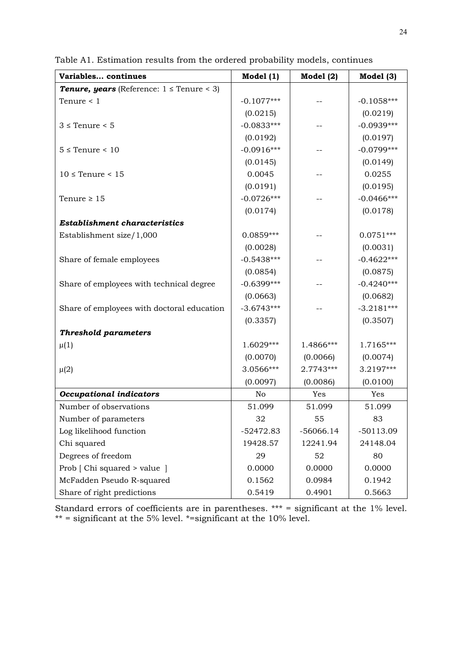| Variables continues                                   | Model $(1)$  | Model $(2)$ | Model (3)    |
|-------------------------------------------------------|--------------|-------------|--------------|
| <b>Tenure, years</b> (Reference: $1 \leq$ Tenure < 3) |              |             |              |
| Tenure $< 1$                                          | $-0.1077***$ |             | $-0.1058***$ |
|                                                       | (0.0215)     |             | (0.0219)     |
| $3 \leq$ Tenure $\leq 5$                              | $-0.0833***$ |             | $-0.0939***$ |
|                                                       | (0.0192)     |             | (0.0197)     |
| $5 \leq$ Tenure < 10                                  | $-0.0916***$ |             | $-0.0799***$ |
|                                                       | (0.0145)     |             | (0.0149)     |
| $10 \leq$ Tenure < 15                                 | 0.0045       |             | 0.0255       |
|                                                       | (0.0191)     |             | (0.0195)     |
| Tenure $\geq 15$                                      | $-0.0726***$ |             | $-0.0466***$ |
|                                                       | (0.0174)     |             | (0.0178)     |
| <b>Establishment characteristics</b>                  |              |             |              |
| Establishment size/1,000                              | 0.0859***    |             | $0.0751***$  |
|                                                       | (0.0028)     |             | (0.0031)     |
| Share of female employees                             | $-0.5438***$ |             | $-0.4622***$ |
|                                                       | (0.0854)     |             | (0.0875)     |
| Share of employees with technical degree              | $-0.6399***$ |             | $-0.4240***$ |
|                                                       | (0.0663)     |             | (0.0682)     |
| Share of employees with doctoral education            | $-3.6743***$ |             | $-3.2181***$ |
|                                                       | (0.3357)     |             | (0.3507)     |
| <b>Threshold parameters</b>                           |              |             |              |
| $\mu(1)$                                              | 1.6029***    | 1.4866***   | 1.7165***    |
|                                                       | (0.0070)     | (0.0066)    | (0.0074)     |
| $\mu(2)$                                              | 3.0566***    | 2.7743***   | 3.2197***    |
|                                                       | (0.0097)     | (0.0086)    | (0.0100)     |
| <b>Occupational indicators</b>                        | No           | Yes         | Yes          |
| Number of observations                                | 51.099       | 51.099      | 51.099       |
| Number of parameters                                  | 32           | 55          | 83           |
| Log likelihood function                               | $-52472.83$  | $-56066.14$ | $-50113.09$  |
| Chi squared                                           | 19428.57     | 12241.94    | 24148.04     |
| Degrees of freedom                                    | 29           | 52          | 80           |
| Prob [ Chi squared > value ]                          | 0.0000       | 0.0000      | 0.0000       |
| McFadden Pseudo R-squared                             | 0.1562       | 0.0984      | 0.1942       |
| Share of right predictions                            | 0.5419       | 0.4901      | 0.5663       |

Table A1. Estimation results from the ordered probability models, continues

Standard errors of coefficients are in parentheses. \*\*\* = significant at the 1% level.  $**$  = significant at the 5% level.  $*=$  significant at the 10% level.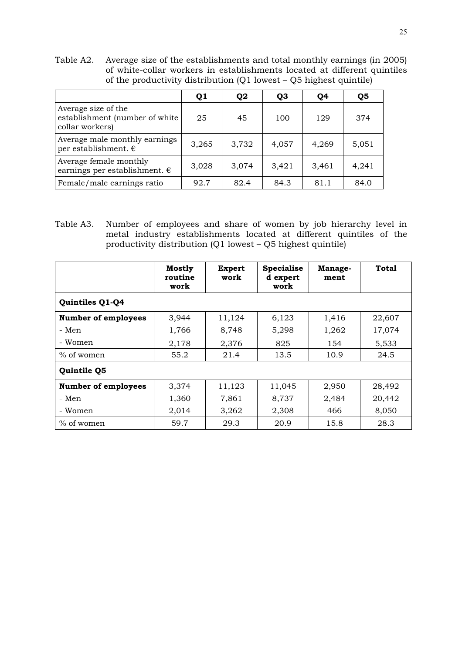Table A2. Average size of the establishments and total monthly earnings (in 2005) of white-collar workers in establishments located at different quintiles of the productivity distribution  $(Q1$  lowest –  $Q5$  highest quintile)

|                                                                          | Q1    | Q <sub>2</sub> | Q3    | Q4    | Q <sub>5</sub> |
|--------------------------------------------------------------------------|-------|----------------|-------|-------|----------------|
| Average size of the<br>establishment (number of white<br>collar workers) | 25    | 45             | 100   | 129   | 374            |
| Average male monthly earnings<br>per establishment. $\epsilon$           | 3,265 | 3,732          | 4,057 | 4,269 | 5,051          |
| Average female monthly<br>earnings per establishment. $\epsilon$         | 3,028 | 3,074          | 3,421 | 3,461 | 4,241          |
| Female/male earnings ratio                                               | 92.7  | 82.4           | 84.3  | 81.1  | 84.0           |

Table A3. Number of employees and share of women by job hierarchy level in metal industry establishments located at different quintiles of the productivity distribution (Q1 lowest – Q5 highest quintile)

|                            | <b>Mostly</b><br>routine<br>work | <b>Expert</b><br>work | <b>Specialise</b><br>d expert<br>work | Manage-<br>ment | Total  |  |  |  |
|----------------------------|----------------------------------|-----------------------|---------------------------------------|-----------------|--------|--|--|--|
| Quintiles Q1-Q4            |                                  |                       |                                       |                 |        |  |  |  |
| <b>Number of employees</b> | 3,944                            | 11,124                | 6,123                                 | 1,416           | 22,607 |  |  |  |
| - Men                      | 1,766                            | 8,748                 | 5,298                                 | 1,262           | 17,074 |  |  |  |
| - Women                    | 2,178                            | 2,376                 | 825                                   | 154             | 5,533  |  |  |  |
| $\%$ of women              | 55.2                             | 21.4                  | 13.5                                  | 10.9            | 24.5   |  |  |  |
| Quintile Q5                |                                  |                       |                                       |                 |        |  |  |  |
| <b>Number of employees</b> | 3,374                            | 11,123                | 11,045                                | 2,950           | 28,492 |  |  |  |
| - Men                      | 1,360                            | 7,861                 | 8,737                                 | 2,484           | 20,442 |  |  |  |
| - Women                    | 2,014                            | 3,262                 | 2,308                                 | 466             | 8,050  |  |  |  |
| $\%$ of women              | 59.7                             | 29.3                  | 20.9                                  | 15.8            | 28.3   |  |  |  |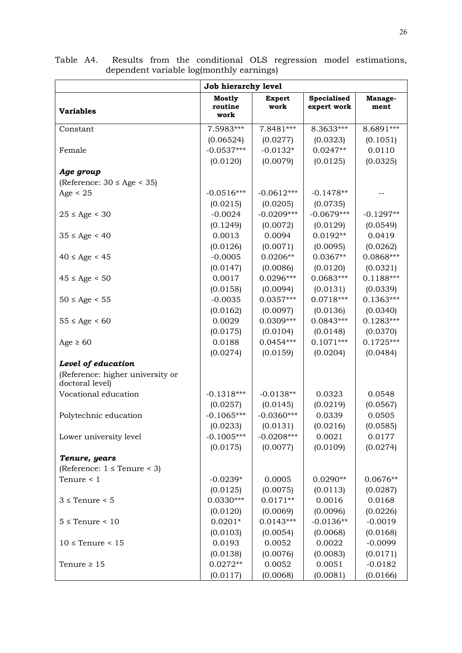|                                                     | Job hierarchy level       |                       |                                   |                 |
|-----------------------------------------------------|---------------------------|-----------------------|-----------------------------------|-----------------|
| <b>Variables</b>                                    | Mostly<br>routine<br>work | <b>Expert</b><br>work | <b>Specialised</b><br>expert work | Manage-<br>ment |
| Constant                                            | 7.5983***                 | 7.8481***             | 8.3633***                         | 8.6891***       |
|                                                     | (0.06524)                 | (0.0277)              | (0.0323)                          | (0.1051)        |
| Female                                              | $-0.0537***$              | $-0.0132*$            | $0.0247**$                        | 0.0110          |
|                                                     | (0.0120)                  | (0.0079)              | (0.0125)                          | (0.0325)        |
| Age group                                           |                           |                       |                                   |                 |
| (Reference: $30 \leq Age \leq 35$ )                 |                           |                       |                                   |                 |
| Age $< 25$                                          | $-0.0516***$              | $-0.0612***$          | $-0.1478**$                       |                 |
|                                                     | (0.0215)                  | (0.0205)              | (0.0735)                          |                 |
| $25 \le$ Age < 30                                   | $-0.0024$                 | $-0.0209***$          | $-0.0679***$                      | $-0.1297**$     |
|                                                     | (0.1249)                  | (0.0072)              | (0.0129)                          | (0.0549)        |
| $35 \leq Age \leq 40$                               | 0.0013                    | 0.0094                | $0.0192**$                        | 0.0419          |
|                                                     | (0.0126)                  | (0.0071)              | (0.0095)                          | (0.0262)        |
| $40 \leq Age < 45$                                  | $-0.0005$                 | $0.0206**$            | $0.0367**$                        | 0.0868***       |
|                                                     | (0.0147)                  | (0.0086)              | (0.0120)                          | (0.0321)        |
| $45 \leq Age \leq 50$                               | 0.0017                    | $0.0296***$           | $0.0683***$                       | $0.1188***$     |
|                                                     | (0.0158)                  | (0.0094)              | (0.0131)                          | (0.0339)        |
| $50 \leq Age \leq 55$                               | $-0.0035$                 | $0.0357***$           | $0.0718***$                       | $0.1363***$     |
|                                                     | (0.0162)                  | (0.0097)              | (0.0136)                          | (0.0340)        |
| $55 \leq Age \leq 60$                               | 0.0029                    | 0.0309***             | $0.0843***$                       | $0.1283***$     |
|                                                     | (0.0175)                  | (0.0104)              | (0.0148)                          | (0.0370)        |
| Age $\geq 60$                                       | 0.0188                    | $0.0454***$           | $0.1071***$                       | $0.1725***$     |
|                                                     | (0.0274)                  | (0.0159)              | (0.0204)                          | (0.0484)        |
| Level of education                                  |                           |                       |                                   |                 |
| (Reference: higher university or<br>doctoral level) |                           |                       |                                   |                 |
| Vocational education                                | $-0.1318***$              | $-0.0138**$           | 0.0323                            | 0.0548          |
|                                                     | (0.0257)                  | (0.0145)              | (0.0219)                          | (0.0567)        |
| Polytechnic education                               | $-0.1065***$              | $-0.0360***$          | 0.0339                            | 0.0505          |
|                                                     | (0.0233)                  | (0.0131)              | (0.0216)                          | (0.0585)        |
| Lower university level                              | $-0.1005***$              | $-0.0208***$          | 0.0021                            | 0.0177          |
|                                                     | (0.0175)                  | (0.0077)              | (0.0109)                          | (0.0274)        |
| Tenure, years                                       |                           |                       |                                   |                 |
| (Reference: $1 \leq$ Tenure < 3)                    |                           |                       |                                   |                 |
| Tenure $\leq 1$                                     | $-0.0239*$                | 0.0005                | $0.0290**$                        | $0.0676**$      |
|                                                     | (0.0125)                  | (0.0075)              | (0.0113)                          | (0.0287)        |
| $3 \leq$ Tenure < 5                                 | $0.0330***$               | $0.0171**$            | 0.0016                            | 0.0168          |
|                                                     | (0.0120)                  | (0.0069)              | (0.0096)                          | (0.0226)        |
| $5 \leq$ Tenure < 10                                | $0.0201*$                 | $0.0143***$           | $-0.0136**$                       | $-0.0019$       |
|                                                     | (0.0103)                  | (0.0054)              | (0.0068)                          | (0.0168)        |
| $10 \leq$ Tenure < 15                               | 0.0193                    | 0.0052                | 0.0022                            | $-0.0099$       |
|                                                     | (0.0138)                  | (0.0076)              | (0.0083)                          | (0.0171)        |
| Tenure $\geq 15$                                    | $0.0272**$                | 0.0052                | 0.0051                            | $-0.0182$       |
|                                                     | (0.0117)                  | (0.0068)              | (0.0081)                          | (0.0166)        |

Table A4. Results from the conditional OLS regression model estimations, dependent variable log(monthly earnings)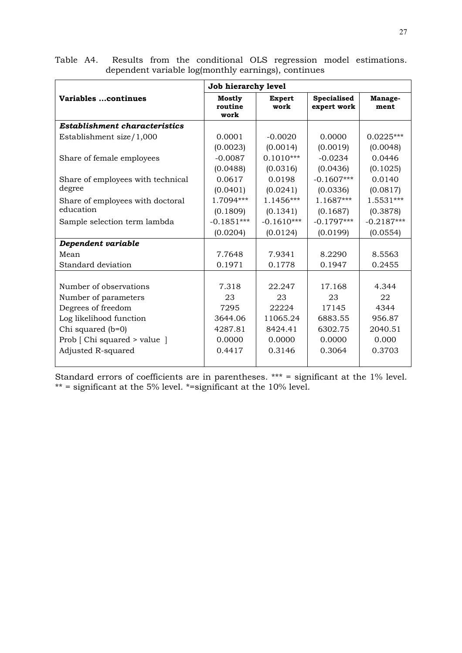|                                      | Job hierarchy level              |                       |                            |                 |
|--------------------------------------|----------------------------------|-----------------------|----------------------------|-----------------|
| Variables continues                  | <b>Mostly</b><br>routine<br>work | <b>Expert</b><br>work | Specialised<br>expert work | Manage-<br>ment |
| <b>Establishment characteristics</b> |                                  |                       |                            |                 |
| Establishment size/1,000             | 0.0001                           | $-0.0020$             | 0.0000                     | $0.0225***$     |
|                                      | (0.0023)                         | (0.0014)              | (0.0019)                   | (0.0048)        |
| Share of female employees            | $-0.0087$                        | $0.1010***$           | $-0.0234$                  | 0.0446          |
|                                      | (0.0488)                         | (0.0316)              | (0.0436)                   | (0.1025)        |
| Share of employees with technical    | 0.0617                           | 0.0198                | $-0.1607***$               | 0.0140          |
| degree                               | (0.0401)                         | (0.0241)              | (0.0336)                   | (0.0817)        |
| Share of employees with doctoral     | 1.7094***                        | 1.1456***             | 1.1687***                  | 1.5531***       |
| education                            | (0.1809)                         | (0.1341)              | (0.1687)                   | (0.3878)        |
| Sample selection term lambda         | $-0.1851***$                     | $-0.1610***$          | $-0.1797***$               | $-0.2187***$    |
|                                      | (0.0204)                         | (0.0124)              | (0.0199)                   | (0.0554)        |
| Dependent variable                   |                                  |                       |                            |                 |
| Mean                                 | 7.7648                           | 7.9341                | 8.2290                     | 8.5563          |
| Standard deviation                   | 0.1971                           | 0.1778                | 0.1947                     | 0.2455          |
|                                      |                                  |                       |                            |                 |
| Number of observations               | 7.318                            | 22.247                | 17.168                     | 4.344           |
| Number of parameters                 | 23                               | 23                    | 23                         | 22              |
| Degrees of freedom                   | 7295                             | 22224                 | 17145                      | 4344            |
| Log likelihood function              | 3644.06                          | 11065.24              | 6883.55                    | 956.87          |
| Chi squared (b=0)                    | 4287.81                          | 8424.41               | 6302.75                    | 2040.51         |
| Prob [ Chi squared > value ]         | 0.0000                           | 0.0000                | 0.0000                     | 0.000           |
| Adjusted R-squared                   | 0.4417                           | 0.3146                | 0.3064                     | 0.3703          |
|                                      |                                  |                       |                            |                 |

Table A4. Results from the conditional OLS regression model estimations. dependent variable log(monthly earnings), continues

Standard errors of coefficients are in parentheses. \*\*\* = significant at the 1% level.  $**$  = significant at the 5% level.  $*$ =significant at the 10% level.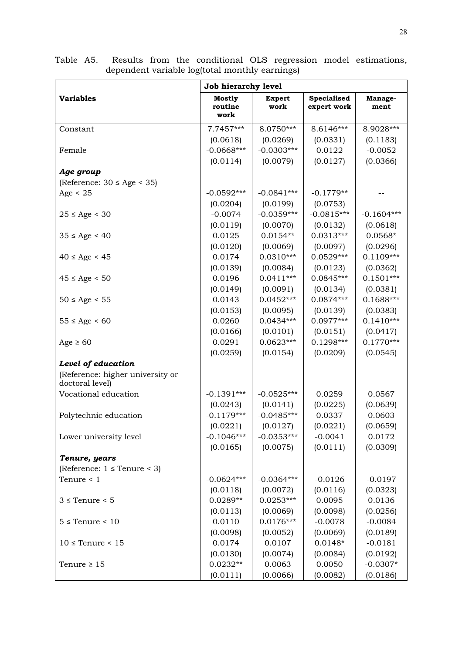|                                                     | Job hierarchy level       |                       |                            |                 |
|-----------------------------------------------------|---------------------------|-----------------------|----------------------------|-----------------|
| <b>Variables</b>                                    | Mostly<br>routine<br>work | <b>Expert</b><br>work | Specialised<br>expert work | Manage-<br>ment |
| Constant                                            | 7.7457***                 | 8.0750***             | 8.6146***                  | 8.9028***       |
|                                                     | (0.0618)                  | (0.0269)              | (0.0331)                   | (0.1183)        |
| Female                                              | $-0.0668***$              | $-0.0303***$          | 0.0122                     | $-0.0052$       |
|                                                     | (0.0114)                  | (0.0079)              | (0.0127)                   | (0.0366)        |
| Age group                                           |                           |                       |                            |                 |
| (Reference: $30 \leq Age \leq 35$ )                 |                           |                       |                            |                 |
| Age $< 25$                                          | $-0.0592***$              | $-0.0841***$          | $-0.1779**$                |                 |
|                                                     | (0.0204)                  | (0.0199)              | (0.0753)                   |                 |
| $25 \le$ Age < 30                                   | $-0.0074$                 | $-0.0359***$          | $-0.0815***$               | $-0.1604***$    |
|                                                     | (0.0119)                  | (0.0070)              | (0.0132)                   | (0.0618)        |
| $35 \leq Age \leq 40$                               | 0.0125                    | $0.0154**$            | $0.0313***$                | $0.0568*$       |
|                                                     | (0.0120)                  | (0.0069)              | (0.0097)                   | (0.0296)        |
| $40 \leq Age < 45$                                  | 0.0174                    | $0.0310***$           | $0.0529***$                | $0.1109***$     |
|                                                     | (0.0139)                  | (0.0084)              | (0.0123)                   | (0.0362)        |
| $45 \leq Age \leq 50$                               | 0.0196                    | $0.0411***$           | $0.0845***$                | $0.1501***$     |
|                                                     | (0.0149)                  | (0.0091)              | (0.0134)                   | (0.0381)        |
| $50 \leq Age \leq 55$                               | 0.0143                    | $0.0452***$           | $0.0874***$                | $0.1688***$     |
|                                                     | (0.0153)                  | (0.0095)              | (0.0139)                   | (0.0383)        |
| $55 \leq Age \leq 60$                               | 0.0260                    | $0.0434***$           | $0.0977***$                | $0.1410***$     |
|                                                     | (0.0166)                  | (0.0101)              | (0.0151)                   | (0.0417)        |
| Age $\geq 60$                                       | 0.0291                    | $0.0623***$           | $0.1298***$                | $0.1770***$     |
|                                                     | (0.0259)                  | (0.0154)              | (0.0209)                   | (0.0545)        |
| Level of education                                  |                           |                       |                            |                 |
| (Reference: higher university or<br>doctoral level) |                           |                       |                            |                 |
| Vocational education                                | $-0.1391***$              | $-0.0525***$          | 0.0259                     | 0.0567          |
|                                                     | (0.0243)                  | (0.0141)              | (0.0225)                   | (0.0639)        |
| Polytechnic education                               | $-0.1179***$              | $-0.0485***$          | 0.0337                     | 0.0603          |
|                                                     | (0.0221)                  | (0.0127)              | (0.0221)                   | (0.0659)        |
| Lower university level                              | $-0.1046***$              | $-0.0353***$          | $-0.0041$                  | 0.0172          |
|                                                     | (0.0165)                  | (0.0075)              | (0.0111)                   | (0.0309)        |
| Tenure, years                                       |                           |                       |                            |                 |
| (Reference: $1 \leq$ Tenure < 3)                    |                           |                       |                            |                 |
| Tenure $< 1$                                        | $-0.0624***$              | $-0.0364***$          | $-0.0126$                  | $-0.0197$       |
|                                                     | (0.0118)                  | (0.0072)              | (0.0116)                   | (0.0323)        |
| $3 \leq$ Tenure < 5                                 | $0.0289**$                | $0.0253***$           | 0.0095                     | 0.0136          |
|                                                     | (0.0113)                  | (0.0069)              | (0.0098)                   | (0.0256)        |
| $5 \leq$ Tenure < 10                                | 0.0110                    | $0.0176***$           | $-0.0078$                  | $-0.0084$       |
|                                                     | (0.0098)                  | (0.0052)              | (0.0069)                   | (0.0189)        |
| $10 \leq$ Tenure < 15                               | 0.0174                    | 0.0107                | $0.0148*$                  | $-0.0181$       |
|                                                     | (0.0130)                  | (0.0074)              | (0.0084)                   | (0.0192)        |
| Tenure $\geq 15$                                    | $0.0232**$                | 0.0063                | 0.0050                     | $-0.0307*$      |
|                                                     | (0.0111)                  | (0.0066)              | (0.0082)                   | (0.0186)        |

Table A5. Results from the conditional OLS regression model estimations, dependent variable log(total monthly earnings)